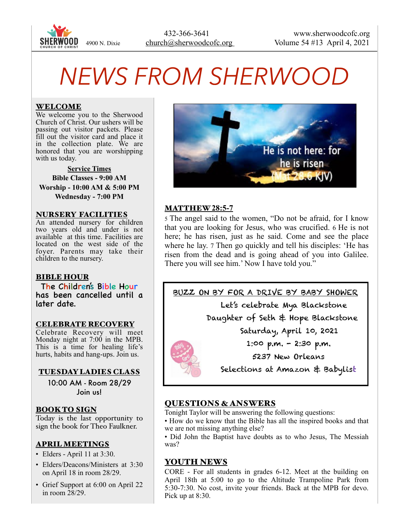

# *NEWS FROM SHERWOOD*

## WELCOME

We welcome you to the Sherwood Church of Christ. Our ushers will be passing out visitor packets. Please fill out the visitor card and place it in the collection plate. We are honored that you are worshipping with us today.

**Service Times Bible Classes - 9:00 AM Worship - 10:00 AM & 5:00 PM Wednesday - 7:00 PM** 

#### NURSERY FACILITIES

An attended nursery for children two years old and under is not available at this time. Facilities are located on the west side of the foyer. Parents may take their children to the nursery.

#### BIBLE HOUR

The Children's Bible Hour has been cancelled until a later date.

#### CELEBRATE RECOVERY

Celebrate Recovery will meet Monday night at 7:00 in the MPB. This is a time for healing life's hurts, habits and hang-ups. Join us.

#### TUESDAY LADIES CLASS

10:00 AM - Room 28/29 Join us!

## BOOK TO SIGN

Today is the last opportunity to sign the book for Theo Faulkner.

# APRIL MEETINGS

- Elders April 11 at  $3:30$ .
- Elders/Deacons/Ministers at 3:30 on April 18 in room 28/29.
- Grief Support at 6:00 on April 22 in room  $28/29$ .



## MATTHEW **28:5-7**

5 The angel said to the women, "Do not be afraid, for I know that you are looking for Jesus, who was crucified. 6 He is not here; he has risen, just as he said. Come and see the place where he lay. 7 Then go quickly and tell his disciples: 'He has risen from the dead and is going ahead of you into Galilee. There you will see him.' Now I have told you."



Daughter of Seth & Hope Blackstone

Saturday, April 10, 2021

1:00 p.m. - 2:30 p.m.

5237 New Orleans

Selections at Amazon & Babylist

# QUESTIONS & ANSWERS

Tonight Taylor will be answering the following questions:

• How do we know that the Bible has all the inspired books and that we are not missing anything else?

• Did John the Baptist have doubts as to who Jesus, The Messiah was?

## YOUTH NEWS

CORE - For all students in grades 6-12. Meet at the building on April 18th at 5:00 to go to the Altitude Trampoline Park from 5:30-7:30. No cost, invite your friends. Back at the MPB for devo. Pick up at 8:30.